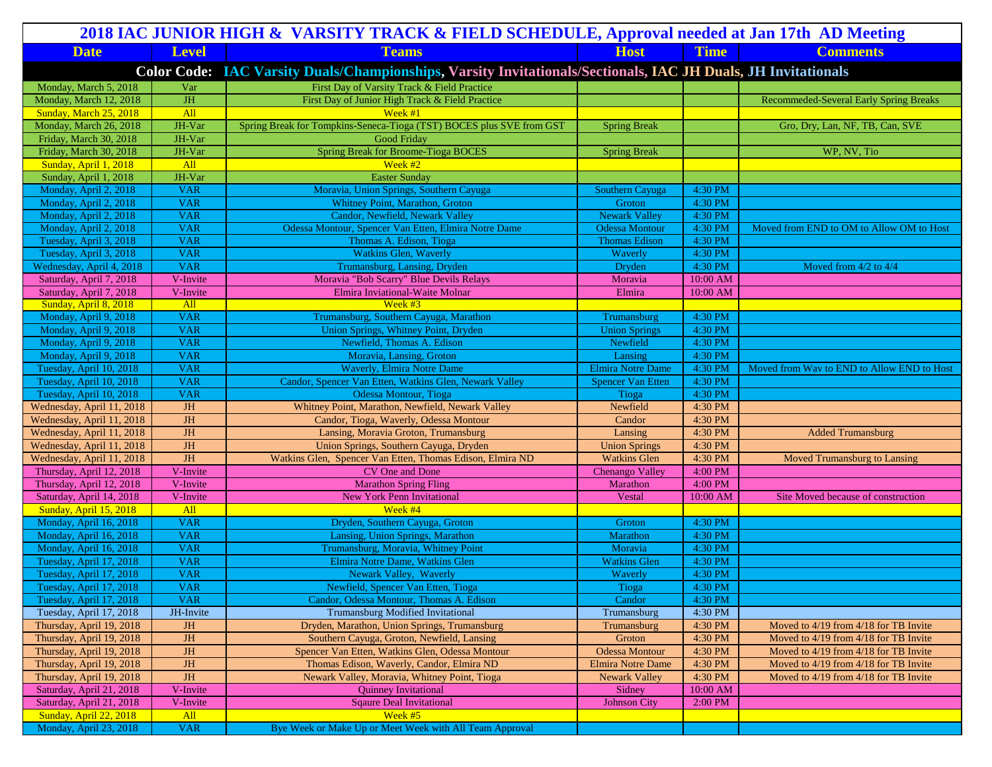| 2018 IAC JUNIOR HIGH & VARSITY TRACK & FIELD SCHEDULE, Approval needed at Jan 17th AD Meeting                 |                         |                                                                      |                          |                    |                                               |  |  |
|---------------------------------------------------------------------------------------------------------------|-------------------------|----------------------------------------------------------------------|--------------------------|--------------------|-----------------------------------------------|--|--|
| <b>Date</b>                                                                                                   | <b>Level</b>            | <b>Teams</b>                                                         | <b>Host</b>              | <b>Time</b>        | <b>Comments</b>                               |  |  |
| Color Code: IAC Varsity Duals/Championships, Varsity Invitationals/Sectionals, IAC JH Duals, JH Invitationals |                         |                                                                      |                          |                    |                                               |  |  |
| Monday, March 5, 2018                                                                                         | Var                     | First Day of Varsity Track & Field Practice                          |                          |                    |                                               |  |  |
| Monday, March 12, 2018                                                                                        | $JH$                    | First Day of Junior High Track & Field Practice                      |                          |                    | <b>Recommeded-Several Early Spring Breaks</b> |  |  |
| Sunday, March 25, 2018                                                                                        | All                     | Week #1                                                              |                          |                    |                                               |  |  |
| Monday, March 26, 2018                                                                                        | JH-Var                  | Spring Break for Tompkins-Seneca-Tioga (TST) BOCES plus SVE from GST | <b>Spring Break</b>      |                    | Gro, Dry, Lan, NF, TB, Can, SVE               |  |  |
| Friday, March 30, 2018                                                                                        | JH-Var                  | Good Friday                                                          |                          |                    |                                               |  |  |
| Friday, March 30, 2018                                                                                        | JH-Var                  | <b>Spring Break for Broome-Tioga BOCES</b>                           | <b>Spring Break</b>      |                    | WP, NV, Tio                                   |  |  |
| Sunday, April 1, 2018                                                                                         | All                     | Week $#2$                                                            |                          |                    |                                               |  |  |
| Sunday, April 1, 2018                                                                                         | JH-Var                  | <b>Easter Sunday</b>                                                 |                          |                    |                                               |  |  |
| Monday, April 2, 2018                                                                                         | <b>VAR</b>              | Moravia, Union Springs, Southern Cayuga                              | Southern Cayuga          | 4:30 PM            |                                               |  |  |
| Monday, April 2, 2018                                                                                         | <b>VAR</b>              | Whitney Point, Marathon, Groton                                      | Groton                   | 4:30 PM            |                                               |  |  |
| Monday, April 2, 2018                                                                                         | <b>VAR</b>              | Candor, Newfield, Newark Valley                                      | <b>Newark Valley</b>     | 4:30 PM            |                                               |  |  |
| Monday, April 2, 2018                                                                                         | <b>VAR</b>              | Odessa Montour, Spencer Van Etten, Elmira Notre Dame                 | <b>Odessa Montour</b>    | 4:30 PM            | Moved from END to OM to Allow OM to Host      |  |  |
| Tuesday, April 3, 2018                                                                                        | <b>VAR</b>              | Thomas A. Edison, Tioga                                              | <b>Thomas Edison</b>     | 4:30 PM            |                                               |  |  |
| Tuesday, April 3, 2018                                                                                        | <b>VAR</b>              | <b>Watkins Glen, Waverly</b>                                         | Waverly                  | 4:30 PM            |                                               |  |  |
| Wednesday, April 4, 2018                                                                                      | <b>VAR</b>              | Trumansburg, Lansing, Dryden                                         | Dryden                   | 4:30 PM            | Moved from $4/2$ to $4/4$                     |  |  |
| Saturday, April 7, 2018                                                                                       | V-Invite                | Moravia "Bob Scarry" Blue Devils Relays                              | Moravia                  | 10:00 AM           |                                               |  |  |
| Saturday, April 7, 2018                                                                                       | V-Invite                | Elmira Inviational-Waite Molnar                                      | Elmira                   | 10:00 AM           |                                               |  |  |
| Sunday, April 8, 2018                                                                                         | All                     | Week $#3$                                                            |                          |                    |                                               |  |  |
| Monday, April 9, 2018                                                                                         | <b>VAR</b>              | Trumansburg, Southern Cayuga, Marathon                               | Trumansburg              | 4:30 PM            |                                               |  |  |
| Monday, April 9, 2018                                                                                         | <b>VAR</b>              | Union Springs, Whitney Point, Dryden                                 | <b>Union Springs</b>     | 4:30 PM            |                                               |  |  |
| Monday, April 9, 2018                                                                                         | <b>VAR</b>              | Newfield, Thomas A. Edison                                           | Newfield                 | 4:30 PM            |                                               |  |  |
| Monday, April 9, 2018                                                                                         | <b>VAR</b>              | Moravia, Lansing, Groton                                             | Lansing                  | 4:30 PM            |                                               |  |  |
| Tuesday, April 10, 2018                                                                                       | <b>VAR</b>              | <b>Waverly, Elmira Notre Dame</b>                                    | <b>Elmira Notre Dame</b> | 4:30 PM            | Moved from Wav to END to Allow END to Host    |  |  |
| Tuesday, April 10, 2018                                                                                       | <b>VAR</b>              | Candor, Spencer Van Etten, Watkins Glen, Newark Valley               | <b>Spencer Van Etten</b> | 4:30 PM            |                                               |  |  |
| Tuesday, April 10, 2018                                                                                       | <b>VAR</b>              | Odessa Montour, Tioga                                                | Tioga                    | 4:30 PM            |                                               |  |  |
| Wednesday, April 11, 2018                                                                                     | <b>JH</b>               | Whitney Point, Marathon, Newfield, Newark Valley                     | Newfield                 | 4:30 PM            |                                               |  |  |
| Wednesday, April 11, 2018                                                                                     | <b>JH</b>               | Candor, Tioga, Waverly, Odessa Montour                               | Candor                   | 4:30 PM            |                                               |  |  |
| Wednesday, April 11, 2018                                                                                     | <b>JH</b>               | Lansing, Moravia Groton, Trumansburg                                 | Lansing                  | 4:30 PM            | <b>Added Trumansburg</b>                      |  |  |
| Wednesday, April 11, 2018                                                                                     | <b>JH</b>               | Union Springs, Southern Cayuga, Dryden                               | <b>Union Springs</b>     | 4:30 PM            |                                               |  |  |
| Wednesday, April 11, 2018                                                                                     | JH                      | Watkins Glen, Spencer Van Etten, Thomas Edison, Elmira ND            | <b>Watkins Glen</b>      | 4:30 PM            | Moved Trumansburg to Lansing                  |  |  |
| Thursday, April 12, 2018                                                                                      | V-Invite                | CV One and Done                                                      | <b>Chenango Valley</b>   | 4:00 PM            |                                               |  |  |
| Thursday, April 12, 2018                                                                                      | V-Invite                | <b>Marathon Spring Fling</b>                                         | Marathon                 | 4:00 PM            |                                               |  |  |
| Saturday, April 14, 2018                                                                                      | V-Invite                | <b>New York Penn Invitational</b>                                    | Vestal                   | 10:00 AM           | Site Moved because of construction            |  |  |
| Sunday, April 15, 2018                                                                                        | All<br><b>VAR</b>       | Week #4                                                              |                          |                    |                                               |  |  |
| Monday, April 16, 2018<br>Monday, April 16, 2018                                                              | <b>VAR</b>              | Dryden, Southern Cayuga, Groton<br>Lansing, Union Springs, Marathon  | Groton<br>Marathon       | 4:30 PM<br>4:30 PM |                                               |  |  |
| Monday, April 16, 2018                                                                                        | <b>VAR</b>              | Trumansburg, Moravia, Whitney Point                                  | Moravia                  | 4:30 PM            |                                               |  |  |
| Tuesday, April 17, 2018                                                                                       | <b>VAR</b>              | Elmira Notre Dame, Watkins Glen                                      | <b>Watkins Glen</b>      | 4:30 PM            |                                               |  |  |
| Tuesday, April 17, 2018                                                                                       | <b>VAR</b>              | Newark Valley, Waverly                                               | Waverly                  | 4:30 PM            |                                               |  |  |
| Tuesday, April 17, 2018                                                                                       | VAR                     | Newfield, Spencer Van Etten, Tioga                                   | Tioga                    | 4:30 PM            |                                               |  |  |
| Tuesday, April 17, 2018                                                                                       | <b>VAR</b>              | Candor, Odessa Montour, Thomas A. Edison                             | Candor                   | 4:30 PM            |                                               |  |  |
| Tuesday, April 17, 2018                                                                                       | JH-Invite               | <b>Trumansburg Modified Invitational</b>                             | Trumansburg              | 4:30 PM            |                                               |  |  |
| Thursday, April 19, 2018                                                                                      | JH                      | Dryden, Marathon, Union Springs, Trumansburg                         | Trumansburg              | 4:30 PM            | Moved to 4/19 from 4/18 for TB Invite         |  |  |
| Thursday, April 19, 2018                                                                                      | $\mathbf{J} \mathbf{H}$ | Southern Cayuga, Groton, Newfield, Lansing                           | Groton                   | 4:30 PM            | Moved to 4/19 from 4/18 for TB Invite         |  |  |
| Thursday, April 19, 2018                                                                                      | JH                      | Spencer Van Etten, Watkins Glen, Odessa Montour                      | <b>Odessa Montour</b>    | 4:30 PM            | Moved to 4/19 from 4/18 for TB Invite         |  |  |
| Thursday, April 19, 2018                                                                                      | $\mathbf{J} \mathbf{H}$ | Thomas Edison, Waverly, Candor, Elmira ND                            | <b>Elmira Notre Dame</b> | 4:30 PM            | Moved to 4/19 from 4/18 for TB Invite         |  |  |
| Thursday, April 19, 2018                                                                                      | $\overline{\rm JH}$     | Newark Valley, Moravia, Whitney Point, Tioga                         | <b>Newark Valley</b>     | 4:30 PM            | Moved to 4/19 from 4/18 for TB Invite         |  |  |
| Saturday, April 21, 2018                                                                                      | V-Invite                | <b>Quinney Invitational</b>                                          | Sidney                   | 10:00 AM           |                                               |  |  |
| Saturday, April 21, 2018                                                                                      | V-Invite                | <b>Sqaure Deal Invitational</b>                                      | <b>Johnson City</b>      | 2:00 PM            |                                               |  |  |
| Sunday, April 22, 2018                                                                                        | All                     | Week #5                                                              |                          |                    |                                               |  |  |
| Monday, April 23, 2018                                                                                        | <b>VAR</b>              | Bye Week or Make Up or Meet Week with All Team Approval              |                          |                    |                                               |  |  |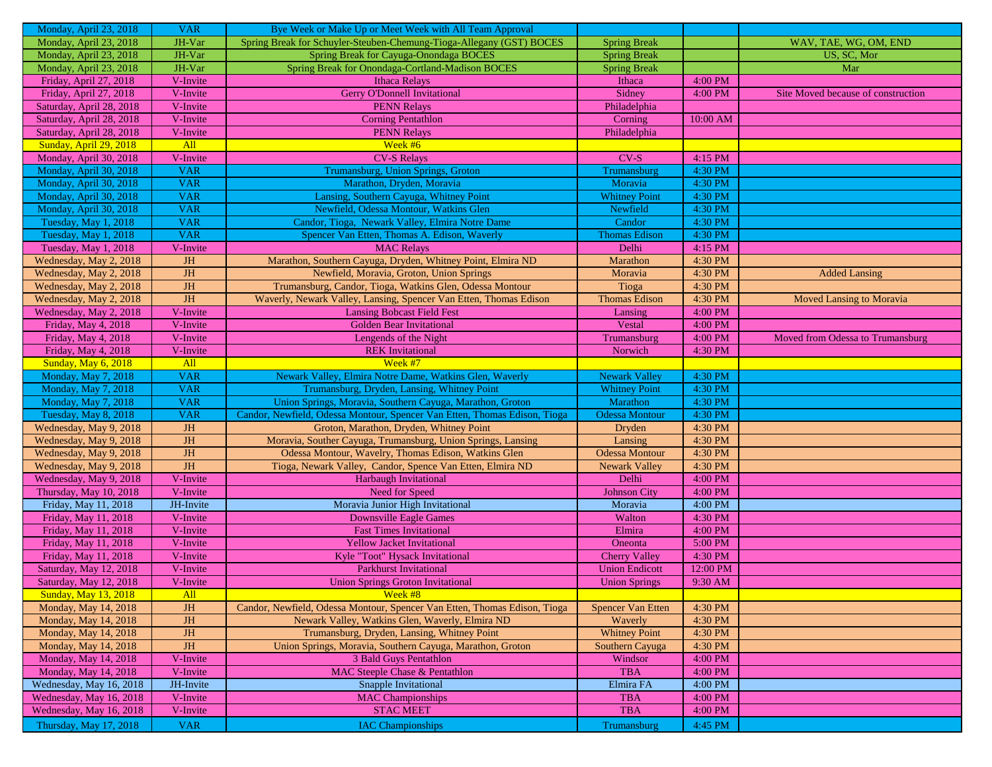| Monday, April 23, 2018      | <b>VAR</b> | Bye Week or Make Up or Meet Week with All Team Approval                   |                          |            |                                    |
|-----------------------------|------------|---------------------------------------------------------------------------|--------------------------|------------|------------------------------------|
| Monday, April 23, 2018      | JH-Var     | Spring Break for Schuyler-Steuben-Chemung-Tioga-Allegany (GST) BOCES      | <b>Spring Break</b>      |            | WAV, TAE, WG, OM, END              |
| Monday, April 23, 2018      | JH-Var     | Spring Break for Cayuga-Onondaga BOCES                                    | <b>Spring Break</b>      |            | US, SC, Mor                        |
| Monday, April 23, 2018      | JH-Var     | Spring Break for Onondaga-Cortland-Madison BOCES                          | <b>Spring Break</b>      |            | Mar                                |
| Friday, April 27, 2018      | V-Invite   | Ithaca Relays                                                             | Ithaca                   | 4:00 PM    |                                    |
| Friday, April 27, 2018      | V-Invite   | <b>Gerry O'Donnell Invitational</b>                                       | Sidney                   | 4:00 PM    | Site Moved because of construction |
| Saturday, April 28, 2018    | V-Invite   | <b>PENN Relays</b>                                                        | Philadelphia             |            |                                    |
| Saturday, April 28, 2018    | V-Invite   | <b>Corning Pentathlon</b>                                                 | Corning                  | $10:00$ AM |                                    |
| Saturday, April 28, 2018    | V-Invite   | <b>PENN Relays</b>                                                        | Philadelphia             |            |                                    |
| Sunday, April 29, 2018      | All        | Week #6                                                                   |                          |            |                                    |
| Monday, April 30, 2018      | V-Invite   | <b>CV-S Relays</b>                                                        | $CV-S$                   | $4:15$ PM  |                                    |
| Monday, April 30, 2018      | <b>VAR</b> | Trumansburg, Union Springs, Groton                                        | Trumansburg              | 4:30 PM    |                                    |
| Monday, April 30, 2018      | <b>VAR</b> | Marathon, Dryden, Moravia                                                 | Moravia                  | 4:30 PM    |                                    |
| Monday, April 30, 2018      | <b>VAR</b> | Lansing, Southern Cayuga, Whitney Point                                   | <b>Whitney Point</b>     | 4:30 PM    |                                    |
| Monday, April 30, 2018      | <b>VAR</b> | Newfield, Odessa Montour, Watkins Glen                                    | Newfield                 | 4:30 PM    |                                    |
| Tuesday, May 1, 2018        | <b>VAR</b> | Candor, Tioga, Newark Valley, Elmira Notre Dame                           | Candor                   | 4:30 PM    |                                    |
| Tuesday, May 1, 2018        | <b>VAR</b> | Spencer Van Etten, Thomas A. Edison, Waverly                              | <b>Thomas Edison</b>     | 4:30 PM    |                                    |
| Tuesday, May 1, 2018        | V-Invite   | <b>MAC Relays</b>                                                         | Delhi                    | 4:15 PM    |                                    |
| Wednesday, May 2, 2018      | <b>JH</b>  | Marathon, Southern Cayuga, Dryden, Whitney Point, Elmira ND               | Marathon                 | 4:30 PM    |                                    |
| Wednesday, May 2, 2018      | <b>JH</b>  | Newfield, Moravia, Groton, Union Springs                                  | Moravia                  | 4:30 PM    | <b>Added Lansing</b>               |
| Wednesday, May 2, 2018      | JH         | Trumansburg, Candor, Tioga, Watkins Glen, Odessa Montour                  | Tioga                    | 4:30 PM    |                                    |
| Wednesday, May 2, 2018      | <b>JH</b>  | Waverly, Newark Valley, Lansing, Spencer Van Etten, Thomas Edison         | <b>Thomas Edison</b>     | 4:30 PM    | <b>Moved Lansing to Moravia</b>    |
| Wednesday, May 2, 2018      | V-Invite   | <b>Lansing Bobcast Field Fest</b>                                         | Lansing                  | 4:00 PM    |                                    |
| Friday, May 4, 2018         | V-Invite   | <b>Golden Bear Invitational</b>                                           | Vestal                   | 4:00 PM    |                                    |
| Friday, May 4, 2018         | V-Invite   | Lengends of the Night                                                     | Trumansburg              | 4:00 PM    | Moved from Odessa to Trumansburg   |
| Friday, May 4, 2018         | V-Invite   | <b>REK</b> Invitational                                                   | Norwich                  | 4:30 PM    |                                    |
| <b>Sunday, May 6, 2018</b>  | All        | Week #7                                                                   |                          |            |                                    |
| Monday, May 7, 2018         | <b>VAR</b> | Newark Valley, Elmira Notre Dame, Watkins Glen, Waverly                   | <b>Newark Valley</b>     | 4:30 PM    |                                    |
| Monday, May 7, 2018         | <b>VAR</b> | Trumansburg, Dryden, Lansing, Whitney Point                               | <b>Whitney Point</b>     | 4:30 PM    |                                    |
| Monday, May 7, 2018         | <b>VAR</b> | Union Springs, Moravia, Southern Cayuga, Marathon, Groton                 | Marathon                 | 4:30 PM    |                                    |
| Tuesday, May 8, 2018        | <b>VAR</b> | Candor, Newfield, Odessa Montour, Spencer Van Etten, Thomas Edison, Tioga | <b>Odessa Montour</b>    | 4:30 PM    |                                    |
| Wednesday, May 9, 2018      | <b>JH</b>  | Groton, Marathon, Dryden, Whitney Point                                   | Dryden                   | 4:30 PM    |                                    |
| Wednesday, May 9, 2018      | <b>JH</b>  | Moravia, Souther Cayuga, Trumansburg, Union Springs, Lansing              | Lansing                  | 4:30 PM    |                                    |
| Wednesday, May 9, 2018      | <b>JH</b>  | Odessa Montour, Wavelry, Thomas Edison, Watkins Glen                      | <b>Odessa Montour</b>    | 4:30 PM    |                                    |
| Wednesday, May 9, 2018      | <b>JH</b>  | Tioga, Newark Valley, Candor, Spence Van Etten, Elmira ND                 | <b>Newark Valley</b>     | 4:30 PM    |                                    |
| Wednesday, May 9, 2018      | V-Invite   | Harbaugh Invitational                                                     | Delhi                    | 4:00 PM    |                                    |
| Thursday, May 10, 2018      | V-Invite   | Need for Speed                                                            | <b>Johnson City</b>      | 4:00 PM    |                                    |
| Friday, May 11, 2018        | JH-Invite  | Moravia Junior High Invitational                                          | Moravia                  | 4:00 PM    |                                    |
| Friday, May 11, 2018        | V-Invite   | Downsville Eagle Games                                                    | Walton                   | 4:30 PM    |                                    |
| Friday, May 11, 2018        | V-Invite   | <b>Fast Times Invitational</b>                                            | Elmira                   | 4:00 PM    |                                    |
| Friday, May 11, 2018        | V-Invite   | <b>Yellow Jacket Invitational</b>                                         | Oneonta                  | 5:00 PM    |                                    |
| Friday, May 11, 2018        | V-Invite   | Kyle "Toot" Hysack Invitational                                           | <b>Cherry Valley</b>     | 4:30 PM    |                                    |
| Saturday, May 12, 2018      | V-Invite   | <b>Parkhurst Invitational</b>                                             | <b>Union Endicott</b>    | 12:00 PM   |                                    |
| Saturday, May 12, 2018      | V-Invite   | Union Springs Groton Invitational                                         | <b>Union Springs</b>     | 9:30 AM    |                                    |
| <b>Sunday, May 13, 2018</b> | All        | Week #8                                                                   |                          |            |                                    |
| Monday, May 14, 2018        | <b>JH</b>  | Candor, Newfield, Odessa Montour, Spencer Van Etten, Thomas Edison, Tioga | <b>Spencer Van Etten</b> | 4:30 PM    |                                    |
| Monday, May 14, 2018        | <b>JH</b>  | Newark Valley, Watkins Glen, Waverly, Elmira ND                           | Waverly                  | 4:30 PM    |                                    |
| Monday, May 14, 2018        | JH         | Trumansburg, Dryden, Lansing, Whitney Point                               | <b>Whitney Point</b>     | 4:30 PM    |                                    |
| Monday, May 14, 2018        | JH         | Union Springs, Moravia, Southern Cayuga, Marathon, Groton                 | Southern Cayuga          | 4:30 PM    |                                    |
| Monday, May 14, 2018        | V-Invite   | 3 Bald Guys Pentathlon                                                    | Windsor                  | 4:00 PM    |                                    |
| Monday, May 14, 2018        | V-Invite   | <b>MAC Steeple Chase &amp; Pentathlon</b>                                 | <b>TBA</b>               | 4:00 PM    |                                    |
| Wednesday, May 16, 2018     | JH-Invite  | Snapple Invitational                                                      | Elmira FA                | 4:00 PM    |                                    |
| Wednesday, May 16, 2018     | V-Invite   | <b>MAC Championships</b>                                                  | <b>TBA</b>               | 4:00 PM    |                                    |
| Wednesday, May 16, 2018     | V-Invite   | <b>STAC MEET</b>                                                          | <b>TBA</b>               | 4:00 PM    |                                    |
| Thursday, May 17, 2018      | <b>VAR</b> | <b>IAC Championships</b>                                                  | Trumansburg              | 4:45 PM    |                                    |